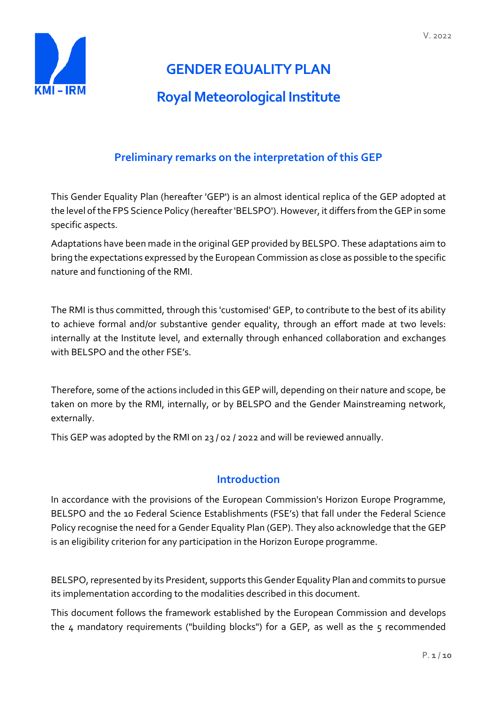

# **GENDER EQUALITY PLAN**

# **Royal Meteorological Institute**

# **Preliminary remarks on the interpretation of this GEP**

This Gender Equality Plan (hereafter 'GEP') is an almost identical replica of the GEP adopted at the level of the FPS Science Policy (hereafter 'BELSPO'). However, it differs from the GEP in some specific aspects.

Adaptations have been made in the original GEP provided by BELSPO. These adaptations aim to bring the expectations expressed by the European Commission as close as possible to the specific nature and functioning of the RMI.

The RMI is thus committed, through this 'customised' GEP, to contribute to the best of its ability to achieve formal and/or substantive gender equality, through an effort made at two levels: internally at the Institute level, and externally through enhanced collaboration and exchanges with BELSPO and the other FSE's.

Therefore, some of the actions included in this GEP will, depending on their nature and scope, be taken on more by the RMI, internally, or by BELSPO and the Gender Mainstreaming network, externally.

This GEP was adopted by the RMI on 23 / 02 / 2022 and will be reviewed annually.

# **Introduction**

In accordance with the provisions of the European Commission's Horizon Europe Programme, BELSPO and the 10 Federal Science Establishments (FSE's) that fall under the Federal Science Policy recognise the need for a Gender Equality Plan (GEP). They also acknowledge that the GEP is an eligibility criterion for any participation in the Horizon Europe programme.

BELSPO, represented by its President, supports this Gender Equality Plan and commits to pursue its implementation according to the modalities described in this document.

This document follows the framework established by the European Commission and develops the  $4$  mandatory requirements ("building blocks") for a GEP, as well as the  $5$  recommended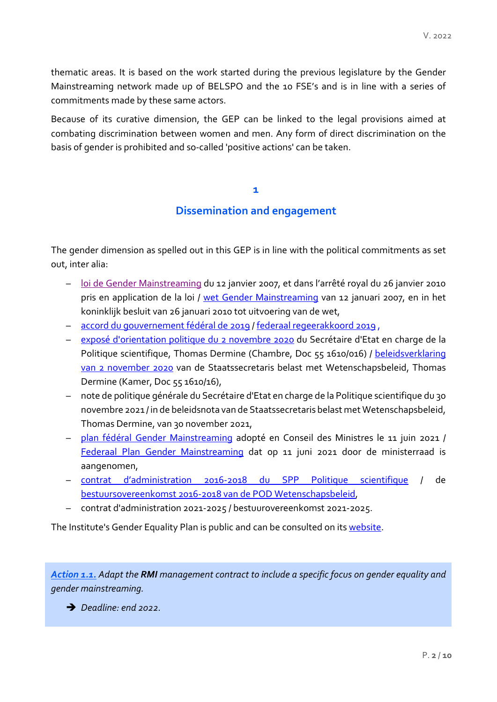thematic areas. It is based on the work started during the previous legislature by the Gender Mainstreaming network made up of BELSPO and the 10 FSE's and is in line with a series of commitments made by these same actors.

Because of its curative dimension, the GEP can be linked to the legal provisions aimed at combating discrimination between women and men. Any form of direct discrimination on the basis of gender is prohibited and so-called 'positive actions' can be taken.

#### **1**

## **Dissemination and engagement**

The gender dimension as spelled out in this GEP is in line with the political commitments as set out, inter alia:

- [loi de Gender Mainstreaming](https://igvm-iefh.belgium.be/sites/default/files/downloads/loigm.pdf) du 12 janvier 2007, et dans l'arrêté royal du 26 janvier 2010 pris en application de la loi / [wet Gender Mainstreaming](https://igvm-iefh.belgium.be/sites/default/files/downloads/Wet_gender_%20mainstreaming.pdf) van 12 januari 2007, en in het koninklijk besluit van 26 januari 2010 tot uitvoering van de wet,
- [accord du gouvernement fédéral de 2019](https://www.belgium.be/sites/default/files/Accord_de_gouvernement_2020.pdf) / [federaal regeerakkoord 2019](https://www.belgium.be/sites/default/files/Regeerakkoord_2020.pdf) ,
- [exposé d'orientation politique du 2 novembre 2020](https://www.dekamer.be/FLWB/PDF/55/1610/55K1610016.pdf) du Secrétaire d'Etat en charge de la Politique scientifique, Thomas Dermine (Chambre, Doc 55 1610/016) / beleidsverklaring [van 2 november](https://www.dekamer.be/FLWB/PDF/55/1610/55K1610016.pdf) 2020 van de Staatssecretaris belast met Wetenschapsbeleid, Thomas Dermine (Kamer, Doc 55 1610/16),
- note de politique générale du Secrétaire d'Etat en charge de la Politique scientifique du 30 novembre 2021 / in de beleidsnota van de Staatssecretaris belast met Wetenschapsbeleid, Thomas Dermine, van 30 november 2021,
- [plan fédéral Gender Mainstreaming](https://igvm-iefh.belgium.be/sites/default/files/downloads/plan_federal_gm_fr.pdf) adopté en Conseil des Ministres le 11 juin 2021 / [Federaal Plan Gender Mainstreaming](https://igvm-iefh.belgium.be/sites/default/files/downloads/federaal_plan_gm_nl.pdf) dat op 11 juni 2021 door de ministerraad is aangenomen,
- [contrat d'administration 2016-2018 du SPP Politique scientifique](http://www.belspo.be/belspo/organisation/about/doc/Contrat%20d) / de bestuursovereenkomst 2016-2018 van de POD Wetenschapsbeleid,
- contrat d'administration 2021-2025 / bestuurovereenkomst 2021-2025.

The Institute's Gender Equality Plan is public and can be consulted on its [website.](https://www.meteo.be/en/bruxelles)

*Action 1.1. Adapt the RMI management contract to include a specific focus on gender equality and gender mainstreaming.* 

*Deadline: end 2022.*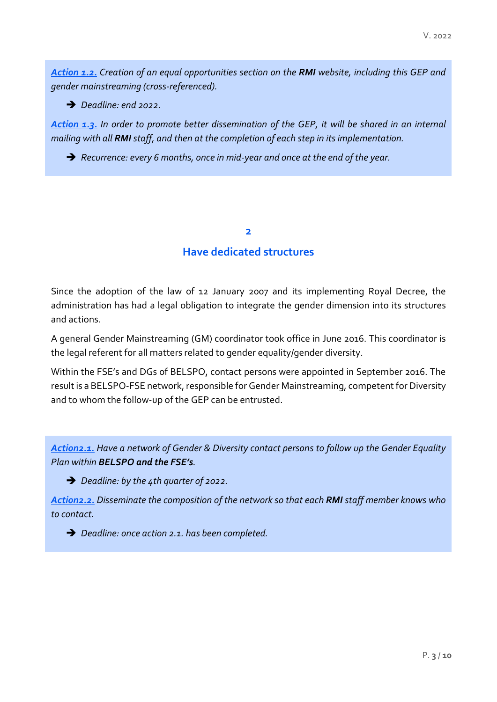*Action 1.2. Creation of an equal opportunities section on the RMI website, including this GEP and gender mainstreaming (cross-referenced).* 

*Deadline: end 2022.*

*Action 1.3. In order to promote better dissemination of the GEP, it will be shared in an internal mailing with all RMI staff, and then at the completion of each step in its implementation.* 

*Recurrence: every 6 months, once in mid-year and once at the end of the year.*

#### **2**

#### **Have dedicated structures**

Since the adoption of the law of 12 January 2007 and its implementing Royal Decree, the administration has had a legal obligation to integrate the gender dimension into its structures and actions.

A general Gender Mainstreaming (GM) coordinator took office in June 2016. This coordinator is the legal referent for all matters related to gender equality/gender diversity.

Within the FSE's and DGs of BELSPO, contact persons were appointed in September 2016. The result is a BELSPO-FSE network, responsible for Gender Mainstreaming, competent for Diversity and to whom the follow-up of the GEP can be entrusted.

*Action2.1. Have a network of Gender & Diversity contact persons to follow up the Gender Equality Plan within BELSPO and the FSE's.* 

*Deadline: by the 4th quarter of 2022.*

*Action2.2. Disseminate the composition of the network so that each RMI staff member knows who to contact.*

*Deadline: once action 2.1. has been completed.*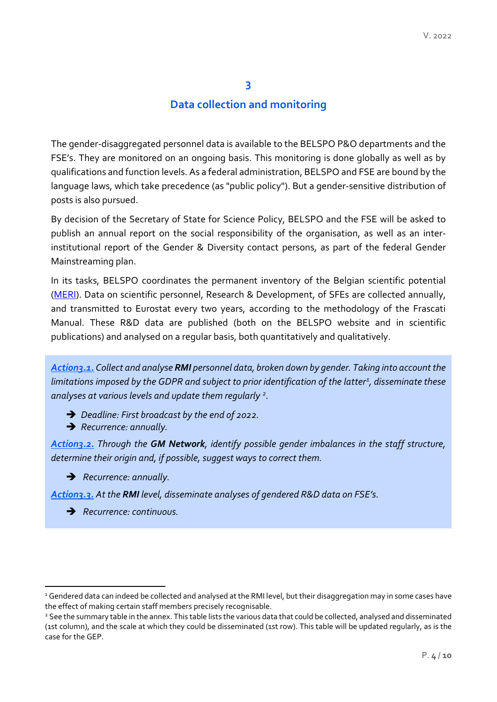#### **Data collection and monitoring**

The gender-disaggregated personnel data is available to the BELSPO P&O departments and the FSE's. They are monitored on an ongoing basis. This monitoring is done globally as well as by qualifications and function levels. As a federal administration, BELSPO and FSE are bound by the language laws, which take precedence (as "public policy"). But a gender-sensitive distribution of posts is also pursued.

By decision of the Secretary of State for Science Policy, BELSPO and the FSE will be asked to publish an annual report on the social responsibility of the organisation, as well as an interinstitutional report of the Gender & Diversity contact persons, as part of the federal Gender Mainstreaming plan.

In its tasks, BELSPO coordinates the permanent inventory of the Belgian scientific potential [\(MERI\)](https://meri.belspo.be/site/index_en.stm). Data on scientific personnel, Research & Development, of SFEs are collected annually, and transmitted to Eurostat every two years, according to the methodology of the Frascati Manual. These R&D data are published (both on the BELSPO website and in scientific publications) and analysed on a regular basis, both quantitatively and qualitatively.

*Action3.1. Collect and analyse RMI personnel data, broken down by gender. Taking into account the limitations imposed by the GDPR and subject to prior identification of the latter[1](#page-3-0) , disseminate these analyses at various levels and update them regularly [2.](#page-3-1)*

- *Deadline: First broadcast by the end of 2022.*
- *Recurrence: annually.*

*Action3.2. Through the GM Network, identify possible gender imbalances in the staff structure, determine their origin and, if possible, suggest ways to correct them.*

*Recurrence: annually.*

*Action3.3. At the RMI level, disseminate analyses of gendered R&D data on FSE's.*

*Recurrence: continuous.*

**.** 

<span id="page-3-0"></span><sup>&</sup>lt;sup>1</sup> Gendered data can indeed be collected and analysed at the RMI level, but their disaggregation may in some cases have the effect of making certain staff members precisely recognisable.

<span id="page-3-1"></span><sup>&</sup>lt;sup>2</sup> See the summary table in the annex. This table lists the various data that could be collected, analysed and disseminated (1st column), and the scale at which they could be disseminated (1st row). This table will be updated regularly, as is the case for the GEP.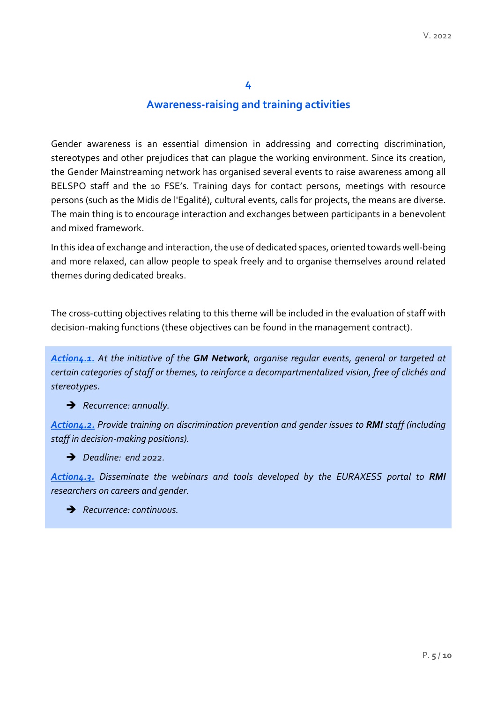## **Awareness-raising and training activities**

Gender awareness is an essential dimension in addressing and correcting discrimination, stereotypes and other prejudices that can plague the working environment. Since its creation, the Gender Mainstreaming network has organised several events to raise awareness among all BELSPO staff and the 10 FSE's. Training days for contact persons, meetings with resource persons (such as the Midis de l'Egalité), cultural events, calls for projects, the means are diverse. The main thing is to encourage interaction and exchanges between participants in a benevolent and mixed framework.

In this idea of exchange and interaction, the use of dedicated spaces, oriented towards well-being and more relaxed, can allow people to speak freely and to organise themselves around related themes during dedicated breaks.

The cross-cutting objectives relating to this theme will be included in the evaluation of staff with decision-making functions (these objectives can be found in the management contract).

*Action4.1. At the initiative of the GM Network, organise regular events, general or targeted at certain categories of staff or themes, to reinforce a decompartmentalized vision, free of clichés and stereotypes.*

*Recurrence: annually.*

*Action4.2. Provide training on discrimination prevention and gender issues to RMI staff (including staff in decision-making positions).*

*Deadline: end 2022.*

*Action4.3. Disseminate the webinars and tools developed by the EURAXESS portal to RMI researchers on careers and gender.*

*Recurrence: continuous.*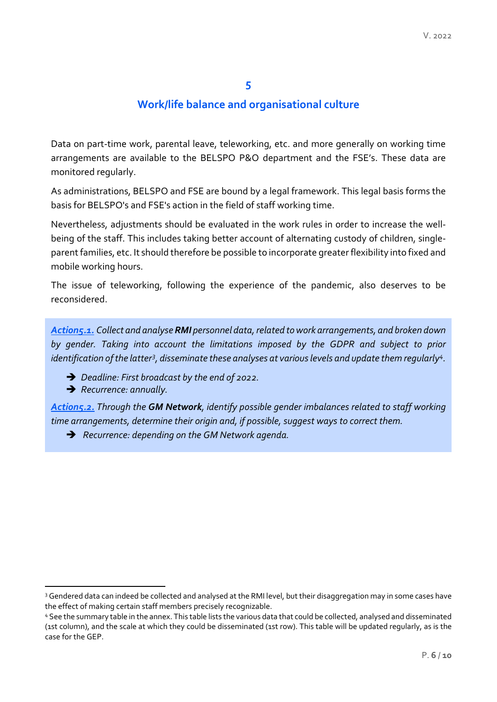## **Work/life balance and organisational culture**

Data on part-time work, parental leave, teleworking, etc. and more generally on working time arrangements are available to the BELSPO P&O department and the FSE's. These data are monitored regularly.

As administrations, BELSPO and FSE are bound by a legal framework. This legal basis forms the basis for BELSPO's and FSE's action in the field of staff working time.

Nevertheless, adjustments should be evaluated in the work rules in order to increase the wellbeing of the staff. This includes taking better account of alternating custody of children, singleparent families, etc. It should therefore be possible to incorporate greater flexibility into fixed and mobile working hours.

The issue of teleworking, following the experience of the pandemic, also deserves to be reconsidered.

*Action5.1. Collect and analyse RMI personnel data, related to work arrangements, and broken down by gender. Taking into account the limitations imposed by the GDPR and subject to prior*  identification of the latter<sup>[3](#page-5-0)</sup>, disseminate these analyses at various levels and update them regularly<sup>[4](#page-5-1)</sup>.

- *Deadline: First broadcast by the end of 2022.*
- *Recurrence: annually.*

**.** 

*Action5.2. Through the GM Network, identify possible gender imbalances related to staff working time arrangements, determine their origin and, if possible, suggest ways to correct them.*

*Recurrence: depending on the GM Network agenda.*

<span id="page-5-0"></span><sup>&</sup>lt;sup>3</sup> Gendered data can indeed be collected and analysed at the RMI level, but their disaggregation may in some cases have the effect of making certain staff members precisely recognizable.

<span id="page-5-1"></span><sup>4</sup> See the summary table in the annex. This table lists the various data that could be collected, analysed and disseminated (1st column), and the scale at which they could be disseminated (1st row). This table will be updated regularly, as is the case for the GEP.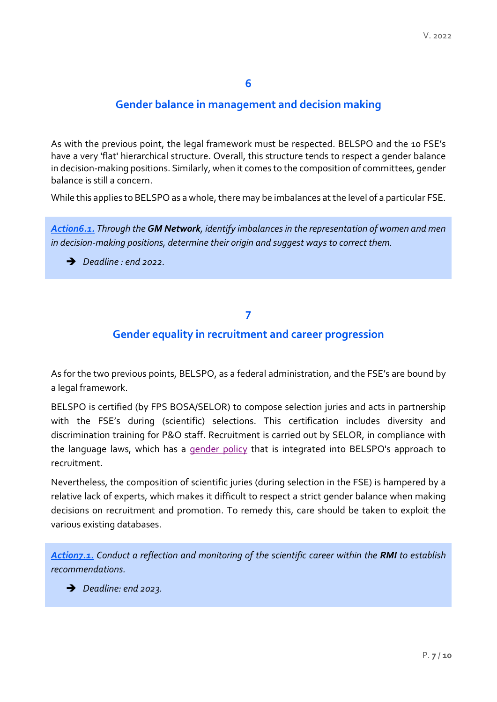# **Gender balance in management and decision making**

As with the previous point, the legal framework must be respected. BELSPO and the 10 FSE's have a very 'flat' hierarchical structure. Overall, this structure tends to respect a gender balance in decision-making positions. Similarly, when it comes to the composition of committees, gender balance is still a concern.

While this applies to BELSPO as a whole, there may be imbalances at the level of a particular FSE.

*Action6.1. Through the GM Network, identify imbalances in the representation of women and men in decision-making positions, determine their origin and suggest ways to correct them.*

*Deadline : end 2022.*

#### **7**

## **Gender equality in recruitment and career progression**

As for the two previous points, BELSPO, as a federal administration, and the FSE's are bound by a legal framework.

BELSPO is certified (by FPS BOSA/SELOR) to compose selection juries and acts in partnership with the FSE's during (scientific) selections. This certification includes diversity and discrimination training for P&O staff. Recruitment is carried out by SELOR, in compliance with the language laws, which has a [gender policy](https://www.selor.be/fr/%C3%A9galit%C3%A9-des-chances/) that is integrated into BELSPO's approach to recruitment.

Nevertheless, the composition of scientific juries (during selection in the FSE) is hampered by a relative lack of experts, which makes it difficult to respect a strict gender balance when making decisions on recruitment and promotion. To remedy this, care should be taken to exploit the various existing databases.

*Action7.1. Conduct a reflection and monitoring of the scientific career within the RMI to establish recommendations.*

*Deadline: end 2023.*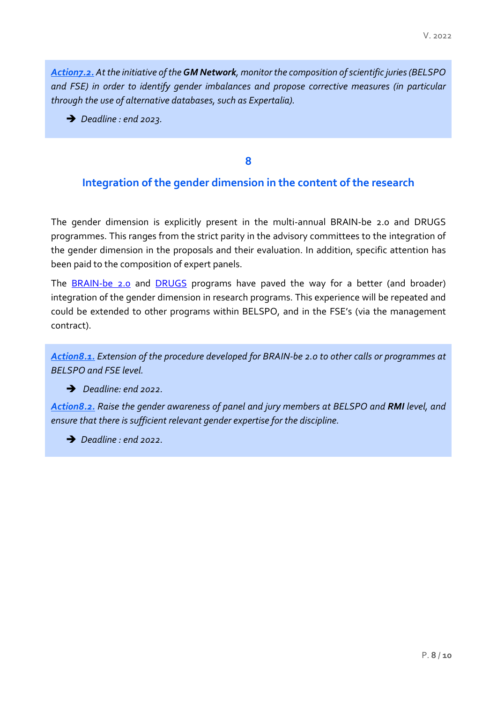*Action7.2. At the initiative of the GM Network, monitor the composition of scientific juries (BELSPO and FSE) in order to identify gender imbalances and propose corrective measures (in particular through the use of alternative databases, such as Expertalia).*

**→** *Deadline : end* 2023.

**8**

## **Integration of the gender dimension in the content of the research**

The gender dimension is explicitly present in the multi-annual BRAIN-be 2.0 and DRUGS programmes. This ranges from the strict parity in the advisory committees to the integration of the gender dimension in the proposals and their evaluation. In addition, specific attention has been paid to the composition of expert panels.

The [BRAIN-be 2.0](https://www.belspo.be/belspo/brain2-be/index_fr.stm) and [DRUGS](https://www.belspo.be/belspo/research/drugs_fr.stm) programs have paved the way for a better (and broader) integration of the gender dimension in research programs. This experience will be repeated and could be extended to other programs within BELSPO, and in the FSE's (via the management contract).

*Action8.1. Extension of the procedure developed for BRAIN-be 2.0 to other calls or programmes at BELSPO and FSE level.*

#### *Deadline: end 2022.*

*Action8.2. Raise the gender awareness of panel and jury members at BELSPO and RMI level, and ensure that there is sufficient relevant gender expertise for the discipline.*

*Deadline : end 2022.*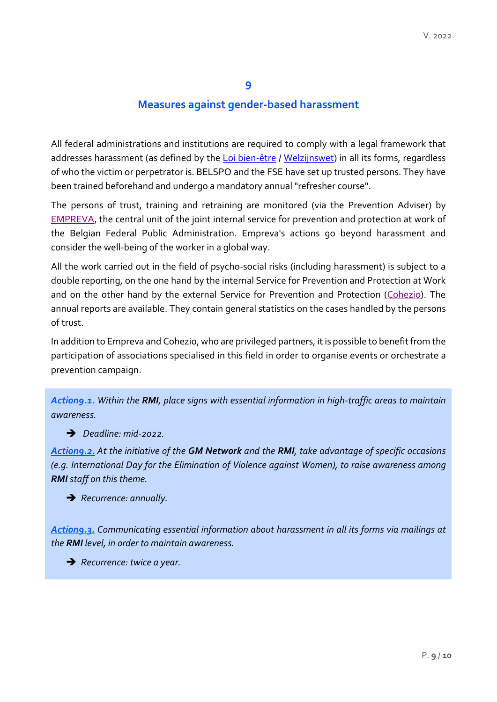# **Measures against gender-based harassment**

All federal administrations and institutions are required to comply with a legal framework that addresses harassment (as defined by the [Loi bien-être](http://www.ejustice.just.fgov.be/eli/loi/1996/08/04/1996012650/justel) / [Welzijnswet\)](http://www.ejustice.just.fgov.be/eli/wet/1996/08/04/1996012650/justel) in all its forms, regardless of who the victim or perpetrator is. BELSPO and the FSE have set up trusted persons. They have been trained beforehand and undergo a mandatory annual "refresher course".

The persons of trust, training and retraining are monitored (via the Prevention Adviser) by [EMPREVA,](https://www.empreva.be/fr) the central unit of the joint internal service for prevention and protection at work of the Belgian Federal Public Administration. Empreva's actions go beyond harassment and consider the well-being of the worker in a global way.

All the work carried out in the field of psycho-social risks (including harassment) is subject to a double reporting, on the one hand by the internal Service for Prevention and Protection at Work and on the other hand by the external Service for Prevention and Protection [\(Cohezio\)](https://www.cohezio.be/fr). The annual reports are available. They contain general statistics on the cases handled by the persons of trust.

In addition to Empreva and Cohezio, who are privileged partners, it is possible to benefit from the participation of associations specialised in this field in order to organise events or orchestrate a prevention campaign.

*Action9.1. Within the RMI, place signs with essential information in high-traffic areas to maintain awareness.*

*Deadline: mid-2022.*

*Action9.2. At the initiative of the GM Network and the RMI, take advantage of specific occasions (e.g. International Day for the Elimination of Violence against Women), to raise awareness among RMI staff on this theme.*

*Recurrence: annually.*

*Action9.3. Communicating essential information about harassment in all its forms via mailings at the RMI level, in order to maintain awareness.*

*Recurrence: twice a year.*